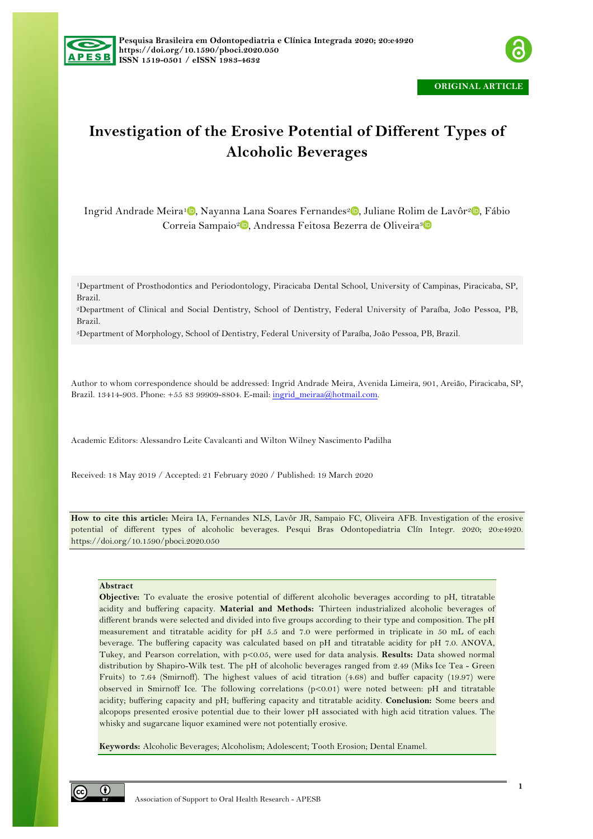



# **Investigation of the Erosive Potential of Different Types of Alcoholic Beverages**

Ingrid Andrade Meira<sup>1</sup>, Nayanna Lana Soares Fernandes<sup>2</sup>, Juliane Rolim de Lavôr<sup>2</sup>, Fábio Correia Sampaio<sup>2</sup> D. Andressa Feitosa Bezerra de Oliveira<sup>3</sup> D

1Department of Prosthodontics and Periodontology, Piracicaba Dental School, University of Campinas, Piracicaba, SP, Brazil.

2Department of Clinical and Social Dentistry, School of Dentistry, Federal University of Paraíba, João Pessoa, PB, Brazil.

3Department of Morphology, School of Dentistry, Federal University of Paraíba, João Pessoa, PB, Brazil.

Author to whom correspondence should be addressed: Ingrid Andrade Meira, Avenida Limeira, 901, Areião, Piracicaba, SP, Brazil. 13414-903. Phone: +55 83 99909-8804. E-mail: ingrid\_meiraa@hotmail.com.

Academic Editors: Alessandro Leite Cavalcanti and Wilton Wilney Nascimento Padilha

Received: 18 May 2019 / Accepted: 21 February 2020 / Published: 19 March 2020

**How to cite this article:** Meira IA, Fernandes NLS, Lavôr JR, Sampaio FC, Oliveira AFB. Investigation of the erosive potential of different types of alcoholic beverages. Pesqui Bras Odontopediatria Clín Integr. 2020; 20:e4920. https://doi.org/10.1590/pboci.2020.050

# **Abstract**

**Objective:** To evaluate the erosive potential of different alcoholic beverages according to pH, titratable acidity and buffering capacity. **Material and Methods:** Thirteen industrialized alcoholic beverages of different brands were selected and divided into five groups according to their type and composition. The pH measurement and titratable acidity for pH 5.5 and 7.0 were performed in triplicate in 50 mL of each beverage. The buffering capacity was calculated based on pH and titratable acidity for pH 7.0. ANOVA, Tukey, and Pearson correlation, with p<0.05, were used for data analysis. **Results:** Data showed normal distribution by Shapiro-Wilk test. The pH of alcoholic beverages ranged from 2.49 (Miks Ice Tea - Green Fruits) to 7.64 (Smirnoff). The highest values of acid titration (4.68) and buffer capacity (19.97) were observed in Smirnoff Ice. The following correlations (p<0.01) were noted between: pH and titratable acidity; buffering capacity and pH; buffering capacity and titratable acidity. **Conclusion:** Some beers and alcopops presented erosive potential due to their lower pH associated with high acid titration values. The whisky and sugarcane liquor examined were not potentially erosive.

**Keywords:** Alcoholic Beverages; Alcoholism; Adolescent; Tooth Erosion; Dental Enamel.

⊙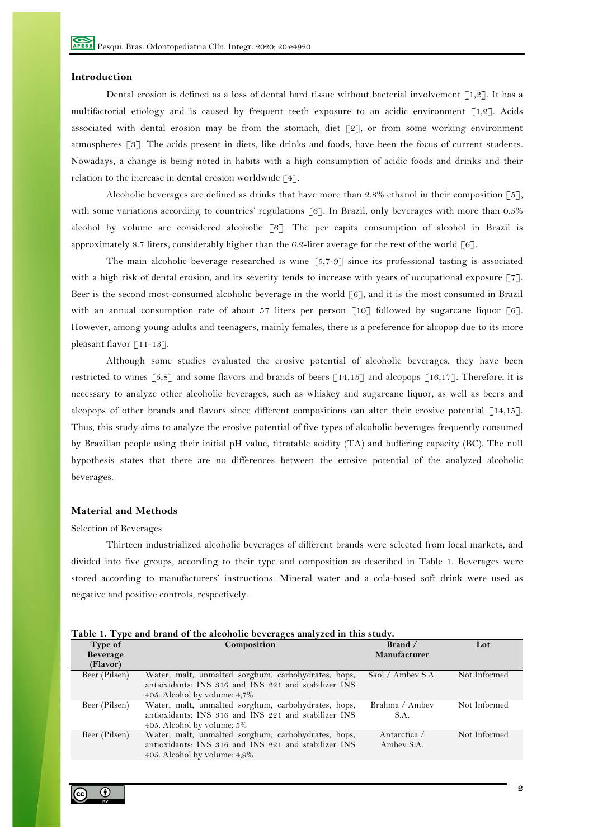#### **Introduction**

Dental erosion is defined as a loss of dental hard tissue without bacterial involvement  $\lceil 1,2 \rceil$ . It has a multifactorial etiology and is caused by frequent teeth exposure to an acidic environment [1,2]. Acids associated with dental erosion may be from the stomach, diet  $\lceil 2 \rceil$ , or from some working environment atmospheres [3]. The acids present in diets, like drinks and foods, have been the focus of current students. Nowadays, a change is being noted in habits with a high consumption of acidic foods and drinks and their relation to the increase in dental erosion worldwide [4].

Alcoholic beverages are defined as drinks that have more than 2.8% ethanol in their composition  $\lceil 5 \rceil$ , with some variations according to countries' regulations [6]. In Brazil, only beverages with more than 0.5% alcohol by volume are considered alcoholic [6]. The per capita consumption of alcohol in Brazil is approximately 8.7 liters, considerably higher than the 6.2-liter average for the rest of the world [6].

The main alcoholic beverage researched is wine  $[5,7-9]$  since its professional tasting is associated with a high risk of dental erosion, and its severity tends to increase with years of occupational exposure [7]. Beer is the second most-consumed alcoholic beverage in the world  $\lceil 6 \rceil$ , and it is the most consumed in Brazil with an annual consumption rate of about 57 liters per person  $\lceil 10 \rceil$  followed by sugarcane liquor  $\lceil 6 \rceil$ . However, among young adults and teenagers, mainly females, there is a preference for alcopop due to its more pleasant flavor [11-13].

Although some studies evaluated the erosive potential of alcoholic beverages, they have been restricted to wines [5,8] and some flavors and brands of beers [14,15] and alcopops [16,17]. Therefore, it is necessary to analyze other alcoholic beverages, such as whiskey and sugarcane liquor, as well as beers and alcopops of other brands and flavors since different compositions can alter their erosive potential [14,15]. Thus, this study aims to analyze the erosive potential of five types of alcoholic beverages frequently consumed by Brazilian people using their initial pH value, titratable acidity (TA) and buffering capacity (BC). The null hypothesis states that there are no differences between the erosive potential of the analyzed alcoholic beverages.

#### **Material and Methods**

#### Selection of Beverages

Thirteen industrialized alcoholic beverages of different brands were selected from local markets, and divided into five groups, according to their type and composition as described in Table 1. Beverages were stored according to manufacturers' instructions. Mineral water and a cola-based soft drink were used as negative and positive controls, respectively.

| Table 1. Type and brand of the alcoholic beverages analyzed in this study. |  |  |
|----------------------------------------------------------------------------|--|--|
|                                                                            |  |  |

| Type of       | Composition                                          | Brand /           | Lot          |
|---------------|------------------------------------------------------|-------------------|--------------|
| Beverage      |                                                      | Manufacturer      |              |
| (Flavor)      |                                                      |                   |              |
| Beer (Pilsen) | Water, malt, unmalted sorghum, carbohydrates, hops,  | Skol / Ambey S.A. | Not Informed |
|               | antioxidants: INS 316 and INS 221 and stabilizer INS |                   |              |
|               | 405. Alcohol by volume: 4,7%                         |                   |              |
| Beer (Pilsen) | Water, malt, unmalted sorghum, carbohydrates, hops,  | Brahma / Ambev    | Not Informed |
|               | antioxidants: INS 316 and INS 221 and stabilizer INS | S.A.              |              |
|               | 405. Alcohol by volume: 5%                           |                   |              |
| Beer (Pilsen) | Water, malt, unmalted sorghum, carbohydrates, hops,  | Antarctica /      | Not Informed |
|               | antioxidants: INS 316 and INS 221 and stabilizer INS | Ambey S.A.        |              |
|               | 405. Alcohol by volume: 4,9%                         |                   |              |

# $\bf{r}$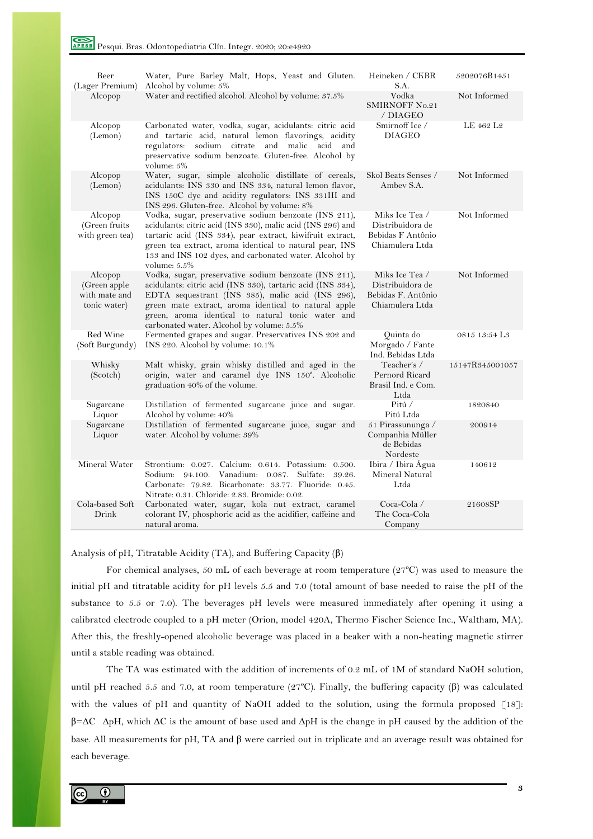| Beer<br>(Lager Premium)                                  | Water, Pure Barley Malt, Hops, Yeast and Gluten.<br>Alcohol by volume: 5%                                                                                                                                                                                                                                                           | Heineken / CKBR<br>S.A.                                                     | 5202076B1451              |
|----------------------------------------------------------|-------------------------------------------------------------------------------------------------------------------------------------------------------------------------------------------------------------------------------------------------------------------------------------------------------------------------------------|-----------------------------------------------------------------------------|---------------------------|
| Alcopop                                                  | Water and rectified alcohol. Alcohol by volume: 37.5%                                                                                                                                                                                                                                                                               | Vodka<br><b>SMIRNOFF No.21</b><br>/ DIAGEO                                  | Not Informed              |
| Alcopop<br>(Lemon)                                       | Carbonated water, vodka, sugar, acidulants: citric acid<br>and tartaric acid, natural lemon flavorings, acidity<br>regulators: sodium citrate and malic acid and<br>preservative sodium benzoate. Gluten-free. Alcohol by<br>volume: 5%                                                                                             | Smirnoff Ice /<br><b>DIAGEO</b>                                             | LE 462 L2                 |
| Alcopop<br>(Lemon)                                       | Water, sugar, simple alcoholic distillate of cereals,<br>acidulants: INS 330 and INS 334, natural lemon flavor,<br>INS 150C dye and acidity regulators: INS 331III and<br>INS 296. Gluten-free. Alcohol by volume: 8%                                                                                                               | Skol Beats Senses /<br>Ambey S.A.                                           | Not Informed              |
| Alcopop<br>(Green fruits<br>with green tea)              | Vodka, sugar, preservative sodium benzoate (INS 211),<br>acidulants: citric acid (INS 330), malic acid (INS 296) and<br>tartaric acid (INS 334), pear extract, kiwifruit extract,<br>green tea extract, aroma identical to natural pear, INS<br>133 and INS 102 dyes, and carbonated water. Alcohol by<br>volume: $5.5\%$           | Miks Ice Tea /<br>Distribuidora de<br>Bebidas F Antônio<br>Chiamulera Ltda  | Not Informed              |
| Alcopop<br>(Green apple<br>with mate and<br>tonic water) | Vodka, sugar, preservative sodium benzoate (INS 211),<br>acidulants: citric acid (INS 330), tartaric acid (INS 334),<br>EDTA sequestrant (INS 385), malic acid (INS 296),<br>green mate extract, aroma identical to natural apple<br>green, aroma identical to natural tonic water and<br>carbonated water. Alcohol by volume: 5.5% | Miks Ice Tea /<br>Distribuidora de<br>Bebidas F. Antônio<br>Chiamulera Ltda | Not Informed              |
| Red Wine<br>(Soft Burgundy)                              | Fermented grapes and sugar. Preservatives INS 202 and<br>INS 220. Alcohol by volume: 10.1%                                                                                                                                                                                                                                          | Quinta do<br>Morgado / Fante<br>Ind. Bebidas Ltda                           | 0815 13:54 L <sub>3</sub> |
| Whisky<br>(Scotch)                                       | Malt whisky, grain whisky distilled and aged in the<br>origin, water and caramel dye INS 150 <sup>ª</sup> . Alcoholic<br>graduation 40% of the volume.                                                                                                                                                                              | Teacher's /<br>Pernord Ricard<br>Brasil Ind. e Com.<br>Ltda                 | 15147R345001057           |
| Sugarcane<br>Liquor                                      | Distillation of fermented sugarcane juice and sugar.<br>Alcohol by volume: 40%                                                                                                                                                                                                                                                      | Pitú $\angle$<br>Pitú Ltda                                                  | 1820840                   |
| Sugarcane<br>Liquor                                      | Distillation of fermented sugarcane juice, sugar and<br>water. Alcohol by volume: 39%                                                                                                                                                                                                                                               | 51 Pirassununga /<br>Companhia Müller<br>de Bebidas<br>Nordeste             | 200914                    |
| Mineral Water                                            | Strontium: 0.027. Calcium: 0.614. Potassium: 0.500.<br>Vanadium: 0.087. Sulfate: 39.26.<br>Sodium: 94.100.<br>Carbonate: 79.82. Bicarbonate: 33.77. Fluoride: 0.45.<br>Nitrate: 0.31. Chloride: 2.83. Bromide: 0.02.                                                                                                                | Ibira / Ibira Água<br>Mineral Natural<br>Ltda                               | 140612                    |
| Cola-based Soft<br>Drink                                 | Carbonated water, sugar, kola nut extract, caramel<br>colorant IV, phosphoric acid as the acidifier, caffeine and<br>natural aroma.                                                                                                                                                                                                 | $Coca-Cola /$<br>The Coca-Cola<br>Company                                   | 21608SP                   |

Analysis of pH, Titratable Acidity (TA), and Buffering Capacity (β)

For chemical analyses, 50 mL of each beverage at room temperature  $(27^{\circ}C)$  was used to measure the initial pH and titratable acidity for pH levels 5.5 and 7.0 (total amount of base needed to raise the pH of the substance to 5.5 or 7.0). The beverages pH levels were measured immediately after opening it using a calibrated electrode coupled to a pH meter (Orion, model 420A, Thermo Fischer Science Inc., Waltham, MA). After this, the freshly-opened alcoholic beverage was placed in a beaker with a non-heating magnetic stirrer until a stable reading was obtained.

The TA was estimated with the addition of increments of 0.2 mL of 1M of standard NaOH solution, until pH reached 5.5 and 7.0, at room temperature (27°C). Finally, the buffering capacity (β) was calculated with the values of pH and quantity of NaOH added to the solution, using the formula proposed [18]: β=∆C ∆pH, which ∆C is the amount of base used and ∆pH is the change in pH caused by the addition of the base. All measurements for pH, TA and β were carried out in triplicate and an average result was obtained for each beverage.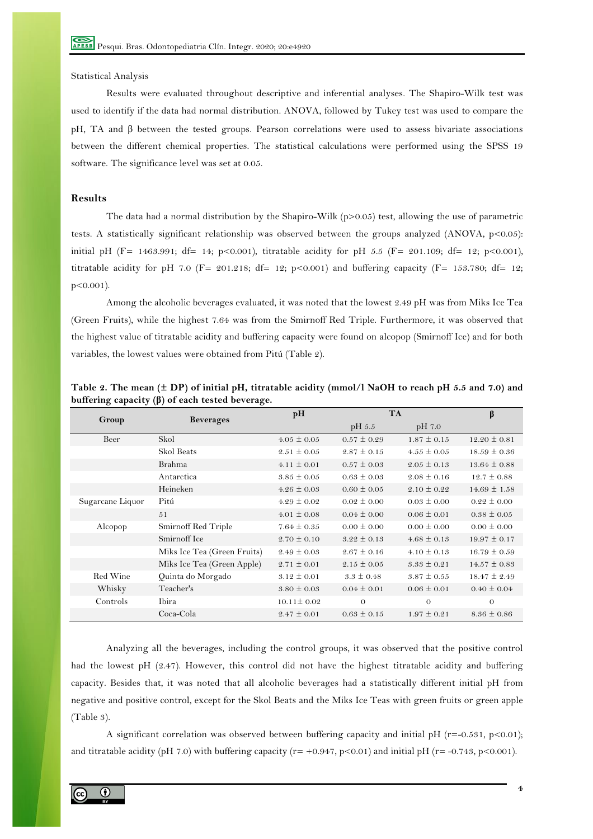# Statistical Analysis

Results were evaluated throughout descriptive and inferential analyses. The Shapiro-Wilk test was used to identify if the data had normal distribution. ANOVA, followed by Tukey test was used to compare the pH, TA and β between the tested groups. Pearson correlations were used to assess bivariate associations between the different chemical properties. The statistical calculations were performed using the SPSS 19 software. The significance level was set at 0.05.

### **Results**

The data had a normal distribution by the Shapiro-Wilk ( $p>0.05$ ) test, allowing the use of parametric tests. A statistically significant relationship was observed between the groups analyzed (ANOVA, p<0.05): initial pH (F= 1463.991; df= 14; p<0.001), titratable acidity for pH 5.5 (F= 201.109; df= 12; p<0.001), titratable acidity for pH 7.0 (F= 201.218; df= 12; p<0.001) and buffering capacity (F= 153.780; df= 12; p<0.001).

Among the alcoholic beverages evaluated, it was noted that the lowest 2.49 pH was from Miks Ice Tea (Green Fruits), while the highest 7.64 was from the Smirnoff Red Triple. Furthermore, it was observed that the highest value of titratable acidity and buffering capacity were found on alcopop (Smirnoff Ice) and for both variables, the lowest values were obtained from Pitú (Table 2).

|                  | <b>Beverages</b>            | pH               |                 | <b>TA</b>       |                  |
|------------------|-----------------------------|------------------|-----------------|-----------------|------------------|
| Group            |                             |                  | pH 5.5          | pH 7.0          |                  |
| Beer             | Skol                        | $4.05 \pm 0.05$  | $0.57 \pm 0.29$ | $1.87 \pm 0.15$ | $12.20 \pm 0.81$ |
|                  | Skol Beats                  | $2.51 \pm 0.05$  | $2.87 \pm 0.15$ | $4.55 \pm 0.05$ | $18.59 \pm 0.36$ |
|                  | Brahma                      | $4.11 \pm 0.01$  | $0.57 \pm 0.03$ | $2.05 \pm 0.13$ | $13.64 \pm 0.88$ |
|                  | Antarctica                  | $3.85 \pm 0.05$  | $0.63 \pm 0.03$ | $2.08 \pm 0.16$ | $12.7 \pm 0.88$  |
|                  | Heineken                    | $4.26 \pm 0.03$  | $0.60 \pm 0.05$ | $2.10 \pm 0.22$ | $14.69 \pm 1.58$ |
| Sugarcane Liquor | Pitú                        | $4.29 \pm 0.02$  | $0.02 \pm 0.00$ | $0.03 \pm 0.00$ | $0.22 \pm 0.00$  |
|                  | 51                          | $4.01 \pm 0.08$  | $0.04 \pm 0.00$ | $0.06 \pm 0.01$ | $0.38 \pm 0.05$  |
| Alcopop          | Smirnoff Red Triple         | $7.64 \pm 0.35$  | $0.00 \pm 0.00$ | $0.00 \pm 0.00$ | $0.00 \pm 0.00$  |
|                  | Smirnoff Ice                | $2.70 \pm 0.10$  | $3.22 \pm 0.13$ | $4.68 \pm 0.13$ | $19.97 \pm 0.17$ |
|                  | Miks Ice Tea (Green Fruits) | $2.49 \pm 0.03$  | $2.67 \pm 0.16$ | $4.10 \pm 0.13$ | $16.79 \pm 0.59$ |
|                  | Miks Ice Tea (Green Apple)  | $2.71 \pm 0.01$  | $2.15 \pm 0.05$ | $3.33 \pm 0.21$ | $14.57 \pm 0.83$ |
| Red Wine         | Quinta do Morgado           | $3.12 \pm 0.01$  | $3.3 \pm 0.48$  | $3.87 \pm 0.55$ | $18.47 \pm 2.49$ |
| Whisky           | Teacher's                   | $3.80 \pm 0.03$  | $0.04 \pm 0.01$ | $0.06 \pm 0.01$ | $0.40 \pm 0.04$  |
| Controls         | Ibira                       | $10.11 \pm 0.02$ | $\theta$        | $\theta$        | $\theta$         |
|                  | Coca-Cola                   | $2.47 \pm 0.01$  | $0.63 \pm 0.15$ | $1.97 \pm 0.21$ | $8.36 \pm 0.86$  |

**Table 2. The mean (± DP) of initial pH, titratable acidity (mmol/l NaOH to reach pH 5.5 and 7.0) and buffering capacity (β) of each tested beverage.**

Analyzing all the beverages, including the control groups, it was observed that the positive control had the lowest pH (2.47). However, this control did not have the highest titratable acidity and buffering capacity. Besides that, it was noted that all alcoholic beverages had a statistically different initial pH from negative and positive control, except for the Skol Beats and the Miks Ice Teas with green fruits or green apple (Table 3).

A significant correlation was observed between buffering capacity and initial pH (r=-0.531, p<0.01); and titratable acidity (pH 7.0) with buffering capacity (r= +0.947, p<0.01) and initial pH (r= -0.743, p<0.001).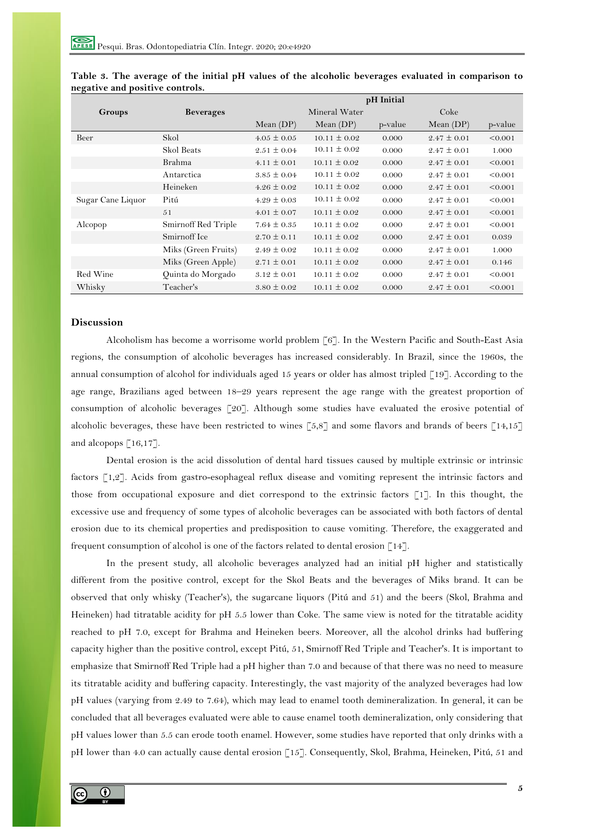|                   |                     | pH Initial      |                  |         |                 |         |
|-------------------|---------------------|-----------------|------------------|---------|-----------------|---------|
| Groups            | <b>Beverages</b>    |                 | Mineral Water    |         | Coke            |         |
|                   |                     | Mean $(DP)$     | Mean $(DP)$      | p-value | Mean $(DP)$     | p-value |
| Beer              | Skol                | $4.05 \pm 0.05$ | $10.11 \pm 0.02$ | 0.000   | $2.47 \pm 0.01$ | < 0.001 |
|                   | Skol Beats          | $2.51 \pm 0.04$ | $10.11 \pm 0.02$ | 0.000   | $2.47 \pm 0.01$ | 1.000   |
|                   | Brahma              | $4.11 \pm 0.01$ | $10.11 \pm 0.02$ | 0.000   | $2.47 \pm 0.01$ | < 0.001 |
|                   | Antarctica          | $3.85 \pm 0.04$ | $10.11 \pm 0.02$ | 0.000   | $2.47 \pm 0.01$ | < 0.001 |
|                   | Heineken            | $4.26 \pm 0.02$ | $10.11 \pm 0.02$ | 0.000   | $2.47 \pm 0.01$ | < 0.001 |
| Sugar Cane Liquor | Pitú                | $4.29 \pm 0.03$ | $10.11 \pm 0.02$ | 0.000   | $2.47 \pm 0.01$ | < 0.001 |
|                   | 51                  | $4.01 \pm 0.07$ | $10.11 \pm 0.02$ | 0.000   | $2.47 \pm 0.01$ | < 0.001 |
| Alcopop           | Smirnoff Red Triple | $7.64 \pm 0.35$ | $10.11 \pm 0.02$ | 0.000   | $2.47 \pm 0.01$ | < 0.001 |
|                   | Smirnoff Ice        | $2.70 \pm 0.11$ | $10.11 \pm 0.02$ | 0.000   | $2.47 \pm 0.01$ | 0.039   |
|                   | Miks (Green Fruits) | $2.49 \pm 0.02$ | $10.11 \pm 0.02$ | 0.000   | $2.47 \pm 0.01$ | 1.000   |
|                   | Miks (Green Apple)  | $2.71 \pm 0.01$ | $10.11 \pm 0.02$ | 0.000   | $2.47 \pm 0.01$ | 0.146   |
| Red Wine          | Quinta do Morgado   | $3.12 \pm 0.01$ | $10.11 \pm 0.02$ | 0.000   | $2.47 \pm 0.01$ | < 0.001 |
| Whisky            | Teacher's           | $3.80 \pm 0.02$ | $10.11 \pm 0.02$ | 0.000   | $2.47 \pm 0.01$ | < 0.001 |

# **Table 3. The average of the initial pH values of the alcoholic beverages evaluated in comparison to negative and positive controls.**

# **Discussion**

Alcoholism has become a worrisome world problem [6]. In the Western Pacific and South-East Asia regions, the consumption of alcoholic beverages has increased considerably. In Brazil, since the 1960s, the annual consumption of alcohol for individuals aged 15 years or older has almost tripled [19]. According to the age range, Brazilians aged between 18–29 years represent the age range with the greatest proportion of consumption of alcoholic beverages [20]. Although some studies have evaluated the erosive potential of alcoholic beverages, these have been restricted to wines  $[5,8]$  and some flavors and brands of beers  $[14,15]$ and alcopops [16,17].

Dental erosion is the acid dissolution of dental hard tissues caused by multiple extrinsic or intrinsic factors [1,2]. Acids from gastro-esophageal reflux disease and vomiting represent the intrinsic factors and those from occupational exposure and diet correspond to the extrinsic factors [1]. In this thought, the excessive use and frequency of some types of alcoholic beverages can be associated with both factors of dental erosion due to its chemical properties and predisposition to cause vomiting. Therefore, the exaggerated and frequent consumption of alcohol is one of the factors related to dental erosion  $\lceil 14 \rceil$ .

In the present study, all alcoholic beverages analyzed had an initial pH higher and statistically different from the positive control, except for the Skol Beats and the beverages of Miks brand. It can be observed that only whisky (Teacher's), the sugarcane liquors (Pitú and 51) and the beers (Skol, Brahma and Heineken) had titratable acidity for pH 5.5 lower than Coke. The same view is noted for the titratable acidity reached to pH 7.0, except for Brahma and Heineken beers. Moreover, all the alcohol drinks had buffering capacity higher than the positive control, except Pitú, 51, Smirnoff Red Triple and Teacher's. It is important to emphasize that Smirnoff Red Triple had a pH higher than 7.0 and because of that there was no need to measure its titratable acidity and buffering capacity. Interestingly, the vast majority of the analyzed beverages had low pH values (varying from 2.49 to 7.64), which may lead to enamel tooth demineralization. In general, it can be concluded that all beverages evaluated were able to cause enamel tooth demineralization, only considering that pH values lower than 5.5 can erode tooth enamel. However, some studies have reported that only drinks with a pH lower than 4.0 can actually cause dental erosion [15]. Consequently, Skol, Brahma, Heineken, Pitú, 51 and

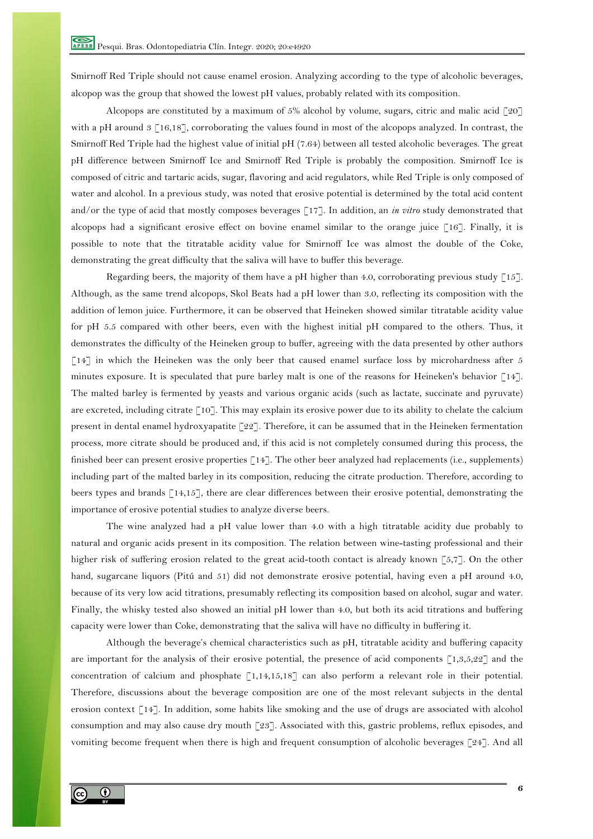Smirnoff Red Triple should not cause enamel erosion. Analyzing according to the type of alcoholic beverages, alcopop was the group that showed the lowest pH values, probably related with its composition.

Alcopops are constituted by a maximum of 5% alcohol by volume, sugars, citric and malic acid  $\lceil 20 \rceil$ with a pH around  $3 \lceil 16,18 \rceil$ , corroborating the values found in most of the alcopops analyzed. In contrast, the Smirnoff Red Triple had the highest value of initial pH (7.64) between all tested alcoholic beverages. The great pH difference between Smirnoff Ice and Smirnoff Red Triple is probably the composition. Smirnoff Ice is composed of citric and tartaric acids, sugar, flavoring and acid regulators, while Red Triple is only composed of water and alcohol. In a previous study, was noted that erosive potential is determined by the total acid content and/or the type of acid that mostly composes beverages [17]. In addition, an *in vitro* study demonstrated that alcopops had a significant erosive effect on bovine enamel similar to the orange juice [16]. Finally, it is possible to note that the titratable acidity value for Smirnoff Ice was almost the double of the Coke, demonstrating the great difficulty that the saliva will have to buffer this beverage.

Regarding beers, the majority of them have a pH higher than 4.0, corroborating previous study [15]. Although, as the same trend alcopops, Skol Beats had a pH lower than 3.0, reflecting its composition with the addition of lemon juice. Furthermore, it can be observed that Heineken showed similar titratable acidity value for pH 5.5 compared with other beers, even with the highest initial pH compared to the others. Thus, it demonstrates the difficulty of the Heineken group to buffer, agreeing with the data presented by other authors [14] in which the Heineken was the only beer that caused enamel surface loss by microhardness after 5 minutes exposure. It is speculated that pure barley malt is one of the reasons for Heineken's behavior [14]. The malted barley is fermented by yeasts and various organic acids (such as lactate, succinate and pyruvate) are excreted, including citrate [10]. This may explain its erosive power due to its ability to chelate the calcium present in dental enamel hydroxyapatite  $\lceil 22 \rceil$ . Therefore, it can be assumed that in the Heineken fermentation process, more citrate should be produced and, if this acid is not completely consumed during this process, the finished beer can present erosive properties [14]. The other beer analyzed had replacements (i.e., supplements) including part of the malted barley in its composition, reducing the citrate production. Therefore, according to beers types and brands [14,15], there are clear differences between their erosive potential, demonstrating the importance of erosive potential studies to analyze diverse beers.

The wine analyzed had a pH value lower than 4.0 with a high titratable acidity due probably to natural and organic acids present in its composition. The relation between wine-tasting professional and their higher risk of suffering erosion related to the great acid-tooth contact is already known [5,7]. On the other hand, sugarcane liquors (Pitú and 51) did not demonstrate erosive potential, having even a pH around 4.0, because of its very low acid titrations, presumably reflecting its composition based on alcohol, sugar and water. Finally, the whisky tested also showed an initial pH lower than 4.0, but both its acid titrations and buffering capacity were lower than Coke, demonstrating that the saliva will have no difficulty in buffering it.

Although the beverage's chemical characteristics such as pH, titratable acidity and buffering capacity are important for the analysis of their erosive potential, the presence of acid components  $\lceil 1,3,5,22 \rceil$  and the concentration of calcium and phosphate [1,14,15,18] can also perform a relevant role in their potential. Therefore, discussions about the beverage composition are one of the most relevant subjects in the dental erosion context [14]. In addition, some habits like smoking and the use of drugs are associated with alcohol consumption and may also cause dry mouth [23]. Associated with this, gastric problems, reflux episodes, and vomiting become frequent when there is high and frequent consumption of alcoholic beverages [24]. And all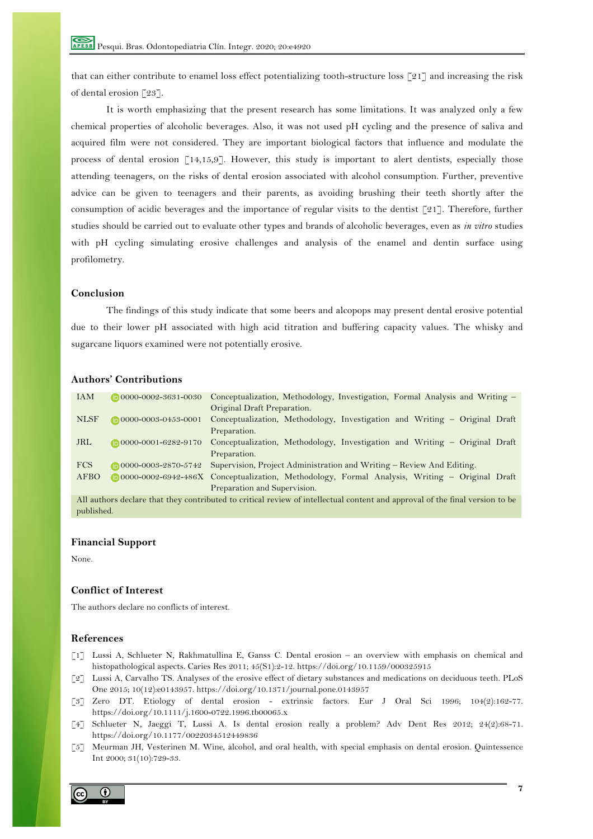that can either contribute to enamel loss effect potentializing tooth-structure loss [21] and increasing the risk of dental erosion [23].

It is worth emphasizing that the present research has some limitations. It was analyzed only a few chemical properties of alcoholic beverages. Also, it was not used pH cycling and the presence of saliva and acquired film were not considered. They are important biological factors that influence and modulate the process of dental erosion [14,15,9]. However, this study is important to alert dentists, especially those attending teenagers, on the risks of dental erosion associated with alcohol consumption. Further, preventive advice can be given to teenagers and their parents, as avoiding brushing their teeth shortly after the consumption of acidic beverages and the importance of regular visits to the dentist [21]. Therefore, further studies should be carried out to evaluate other types and brands of alcoholic beverages, even as *in vitro* studies with pH cycling simulating erosive challenges and analysis of the enamel and dentin surface using profilometry.

## **Conclusion**

The findings of this study indicate that some beers and alcopops may present dental erosive potential due to their lower pH associated with high acid titration and buffering capacity values. The whisky and sugarcane liquors examined were not potentially erosive.

# **Authors' Contributions**

| <b>IAM</b>               | $\n  0000 - 0002 - 3631 - 0030\n$ | Conceptualization, Methodology, Investigation, Formal Analysis and Writing -                                                                                                                                                                                                                                                   |
|--------------------------|-----------------------------------|--------------------------------------------------------------------------------------------------------------------------------------------------------------------------------------------------------------------------------------------------------------------------------------------------------------------------------|
|                          |                                   | Original Draft Preparation.                                                                                                                                                                                                                                                                                                    |
| <b>NLSF</b>              | $\n  0000 - 0003 - 0453 - 0001\n$ | Conceptualization, Methodology, Investigation and Writing - Original Draft                                                                                                                                                                                                                                                     |
|                          |                                   | Preparation.                                                                                                                                                                                                                                                                                                                   |
| <b>JRL</b>               | $\n  0000 - 0001 - 6282 - 9170\n$ | Conceptualization, Methodology, Investigation and Writing - Original Draft                                                                                                                                                                                                                                                     |
|                          |                                   | Preparation.                                                                                                                                                                                                                                                                                                                   |
| <b>FCS</b>               | $\n  0000-0003-2870-5742\n$       | Supervision, Project Administration and Writing – Review And Editing.                                                                                                                                                                                                                                                          |
| AFBO                     |                                   | 10000-0002-6942-486X Conceptualization, Methodology, Formal Analysis, Writing - Original Draft                                                                                                                                                                                                                                 |
|                          |                                   | Preparation and Supervision.                                                                                                                                                                                                                                                                                                   |
| $\lambda$ 11 $\lambda$ 1 | 1 1 1 1 1 1 1 1 1 1 1             | $\begin{array}{ccccccccccccccccc}\n1 & C & 1 & C & 1\n\end{array}$<br>$\mathcal{C}$ , the set of $\mathcal{C}$ , $\mathcal{C}$ , $\mathcal{C}$ , $\mathcal{C}$ , $\mathcal{C}$ , $\mathcal{C}$ , $\mathcal{C}$ , $\mathcal{C}$ , $\mathcal{C}$ , $\mathcal{C}$ , $\mathcal{C}$ , $\mathcal{C}$ , $\mathcal{C}$ , $\mathcal{C}$ |

All authors declare that they contributed to critical review of intellectual content and approval of the final version to be published.

#### **Financial Support**

None.

# **Conflict of Interest**

The authors declare no conflicts of interest.

### **References**

- [1] Lussi A, Schlueter N, Rakhmatullina E, Ganss C. Dental erosion an overview with emphasis on chemical and histopathological aspects. Caries Res 2011; 45(S1):2-12. https://doi.org/10.1159/000325915
- [2] Lussi A, Carvalho TS. Analyses of the erosive effect of dietary substances and medications on deciduous teeth. PLoS One 2015; 10(12):e0143957. https://doi.org/10.1371/journal.pone.0143957
- [3] Zero DT. Etiology of dental erosion extrinsic factors. Eur J Oral Sci 1996; 104(2):162-77. https://doi.org/10.1111/j.1600-0722.1996.tb00065.x
- [4] Schlueter N, Jaeggi T, Lussi A. Is dental erosion really a problem? Adv Dent Res 2012; 24(2):68-71. https://doi.org/10.1177/0022034512449836
- [5] Meurman JH, Vesterinen M. Wine, alcohol, and oral health, with special emphasis on dental erosion. Quintessence Int 2000; 31(10):729-33.